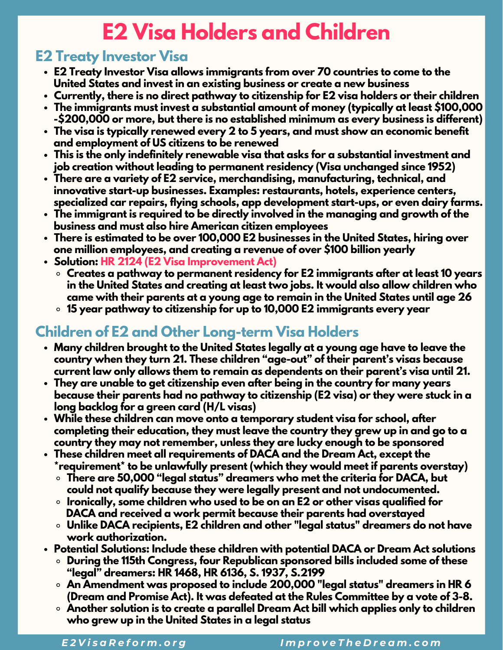## **E2 Visa Holders and Children**

## **E2 Treaty Investor Visa**

- **E2 Treaty Investor Visa allows immigrants from over 70 countries to come to the United States and invest in an existing business or create a new business**
- **Currently, there is no direct pathway to citizenship for E2 visa holders or their children**
- **The immigrants must invest a substantial amount of money (typically at least \$100,000 -\$200,000 or more, but there is no established minimum as every business is different)**
- **The visa is typically renewed every 2 to 5 years, and must show an economic benefit and employment of US citizens to be renewed**
- **This is the only indefinitely renewable visa that asks for a substantial investment and job creation without leading to permanent residency (Visa unchanged since 1952)**
- **There are a variety of E2 service, merchandising, manufacturing, technical, and innovative start-up businesses. Examples: restaurants, hotels, experience centers, specialized car repairs, flying schools, app development start-ups, or even dairy farms.**
- **The immigrant is required to be directly involved in the managing and growth of the business and must also hire American citizen employees**
- **There is estimated to be over 100,000 E2 businesses in the United States, hiring over one million employees, and creating a revenue of over \$100 billion yearly**
- **Solution: HR 2124 (E2 Visa Improvement Act)**
	- **Creates a pathway to permanent residency for E2 immigrants after at least 10 years in the United States and creating at least two jobs. It would also allow children who came with their parents at a young age to remain in the United States until age 26**
	- **15 year pathway to citizenship for up to 10,000 E2 immigrants every year**

## **Children of E2 and Other Long-term Visa Holders**

- **Many children brought to the United States legally at a young age have to leave the country when they turn 21. These children "age-out" of their parent's visas because current law only allows them to remain as dependents on their parent's visa until 21.**
- **They are unable to get citizenship even after being in the country for many years because their parents had no pathway to citizenship (E2 visa) or they were stuck in a long backlog for a green card (H/L visas)**
- **While these children can move onto a temporary student visa for school, after completing their education, they must leave the country they grew up in and go to a country they may not remember, unless they are lucky enough to be sponsored**
- **These children meet all requirements of DACA and the Dream Act, except the \*requirement\* to be unlawfully present (which they would meet if parents overstay)**
	- **There are 50,000 "legal status" dreamers who met the criteria for DACA, but could not qualify because they were legally present and not undocumented.**
	- **Ironically, some children who used to be on an E2 or other visas qualified for DACA and received a work permit because their parents had overstayed**
	- **Unlike DACA recipients, E2 children and other "legal status" dreamers do not have work authorization.**
- **Potential Solutions: Include these children with potential DACA or Dream Act solutions**
	- **During the 115th Congress, four Republican sponsored bills included some of these "legal" dreamers: HR 1468, HR 6136, S. 1937, S.2199**
	- **An Amendment was proposed to include 200,000 "legal status" dreamers in HR 6 (Dream and Promise Act). It was defeated at the Rules Committee by a vote of 3-8.**
	- **Another solution is to create a parallel Dream Act bill which applies only to children who grew up in the United States in a legal status**